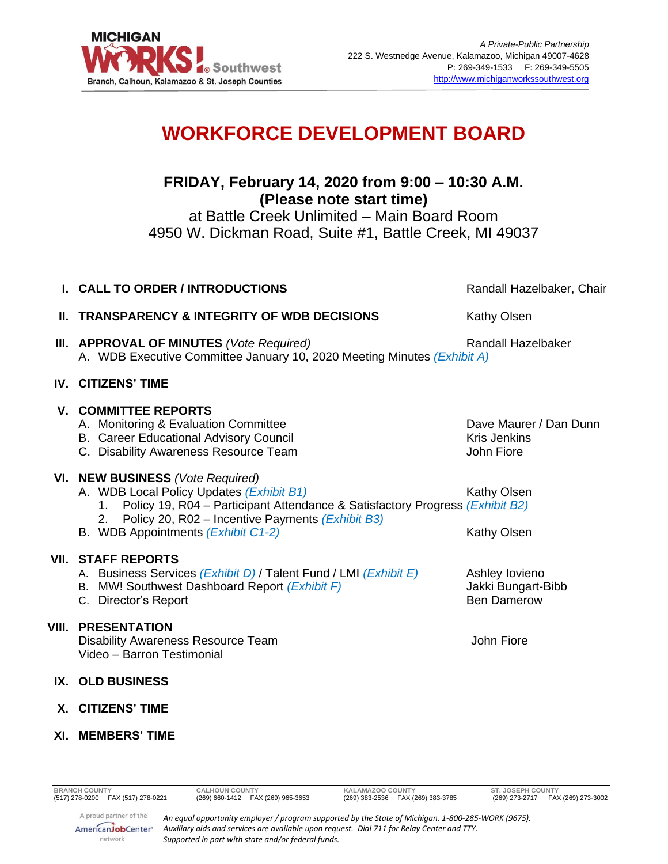

# **WORKFORCE DEVELOPMENT BOARD**

## **FRIDAY, February 14, 2020 from 9:00 – 10:30 A.M. (Please note start time)**

at Battle Creek Unlimited – Main Board Room 4950 W. Dickman Road, Suite #1, Battle Creek, MI 49037

|                                                                                                                                           | Randall Hazelbaker, Chair                                                                                                                                                                                                                                                                                                                                                                                                                                      |
|-------------------------------------------------------------------------------------------------------------------------------------------|----------------------------------------------------------------------------------------------------------------------------------------------------------------------------------------------------------------------------------------------------------------------------------------------------------------------------------------------------------------------------------------------------------------------------------------------------------------|
|                                                                                                                                           | Kathy Olsen                                                                                                                                                                                                                                                                                                                                                                                                                                                    |
|                                                                                                                                           | <b>Randall Hazelbaker</b>                                                                                                                                                                                                                                                                                                                                                                                                                                      |
|                                                                                                                                           |                                                                                                                                                                                                                                                                                                                                                                                                                                                                |
| A. Monitoring & Evaluation Committee<br><b>B.</b> Career Educational Advisory Council<br>C. Disability Awareness Resource Team            | Dave Maurer / Dan Dunn<br><b>Kris Jenkins</b><br>John Fiore                                                                                                                                                                                                                                                                                                                                                                                                    |
| A. WDB Local Policy Updates (Exhibit B1)<br>Policy 20, R02 - Incentive Payments (Exhibit B3)<br>2.<br>B. WDB Appointments (Exhibit C1-2)  | Kathy Olsen<br>Kathy Olsen                                                                                                                                                                                                                                                                                                                                                                                                                                     |
| A. Business Services (Exhibit D) / Talent Fund / LMI (Exhibit E)<br>B. MW! Southwest Dashboard Report (Exhibit F)<br>C. Director's Report | Ashley lovieno<br>Jakki Bungart-Bibb<br><b>Ben Damerow</b>                                                                                                                                                                                                                                                                                                                                                                                                     |
| <b>PRESENTATION</b><br><b>Disability Awareness Resource Team</b><br>Video - Barron Testimonial                                            | John Fiore                                                                                                                                                                                                                                                                                                                                                                                                                                                     |
|                                                                                                                                           |                                                                                                                                                                                                                                                                                                                                                                                                                                                                |
|                                                                                                                                           | I. CALL TO ORDER / INTRODUCTIONS<br><b>II. TRANSPARENCY &amp; INTEGRITY OF WDB DECISIONS</b><br><b>III. APPROVAL OF MINUTES (Vote Required)</b><br>A. WDB Executive Committee January 10, 2020 Meeting Minutes (Exhibit A)<br><b>IV. CITIZENS' TIME</b><br><b>V. COMMITTEE REPORTS</b><br>VI. NEW BUSINESS (Vote Required)<br>1. Policy 19, R04 - Participant Attendance & Satisfactory Progress (Exhibit B2)<br><b>VII. STAFF REPORTS</b><br>IX. OLD BUSINESS |

**X. CITIZENS' TIME**

### **XI. MEMBERS' TIME**

network